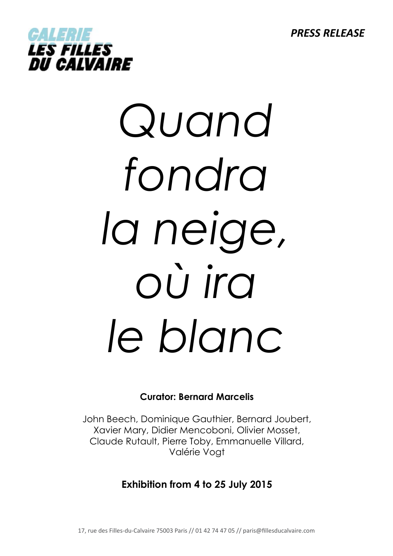*PRESS RELEASE*



# *Quand fondra la neige, où ira le blanc*

# **Curator: Bernard Marcelis**

John Beech, Dominique Gauthier, Bernard Joubert, Xavier Mary, Didier Mencoboni, Olivier Mosset, Claude Rutault, Pierre Toby, Emmanuelle Villard, Valérie Vogt

# **Exhibition from 4 to 25 July 2015**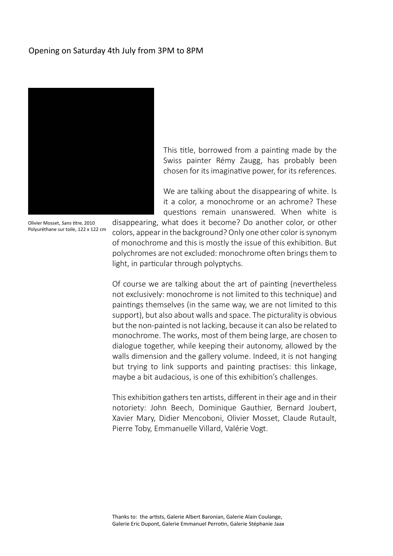## Opening on Saturday 4th July from 3PM to 8PM



Olivier Mosset, Sans titre, 2010 Polyuréthane sur toile, 122 x 122 cm

This title, borrowed from a painting made by the Swiss painter Rémy Zaugg, has probably been chosen for its imaginative power, for its references.

We are talking about the disappearing of white. Is it a color, a monochrome or an achrome? These questions remain unanswered. When white is

disappearing, what does it become? Do another color, or other colors, appear in the background? Only one other color is synonym of monochrome and this is mostly the issue of this exhibition. But polychromes are not excluded: monochrome often brings them to light, in particular through polyptychs.

Of course we are talking about the art of painting (nevertheless not exclusively: monochrome is not limited to this technique) and paintings themselves (in the same way, we are not limited to this support), but also about walls and space. The picturality is obvious but the non-painted is not lacking, because it can also be related to monochrome. The works, most of them being large, are chosen to dialogue together, while keeping their autonomy, allowed by the walls dimension and the gallery volume. Indeed, it is not hanging but trying to link supports and painting practises: this linkage, maybe a bit audacious, is one of this exhibition's challenges.

This exhibition gathers ten artists, different in their age and in their notoriety: John Beech, Dominique Gauthier, Bernard Joubert, Xavier Mary, Didier Mencoboni, Olivier Mosset, Claude Rutault, Pierre Toby, Emmanuelle Villard, Valérie Vogt.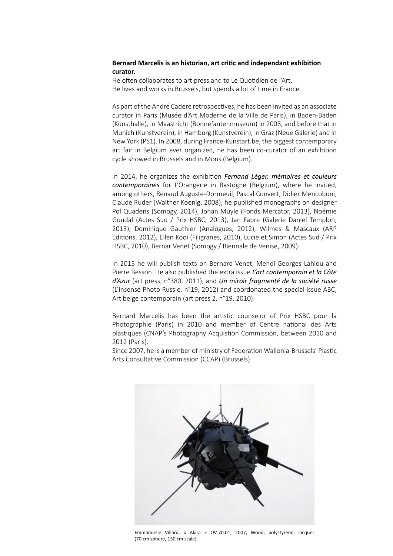### **Bernard Marcelis is an historian, art critic and independant exhibition curator.**

He often collaborates to art press and to Le Quotidien de l'Art. He lives and works in Brussels, but spends a lot of time in France.

As part of the André Cadere retrospectives, he has been invited as an associate curator in Paris (Musée d'Art Moderne de la Ville de Paris), in Baden-Baden (Kunsthalle), in Maastricht (Bonnefantenmuseum) in 2008, and before that in Munich (Kunstverein), in Hamburg (Kunstverein), in Graz (Neue Galerie) and in New York (PS1). In 2008, during France-Kunstart.be, the biggest contemporary art fair in Belgium ever organized, he has been co-curator of an exhibition cycle showed in Brussels and in Mons (Belgium).

In 2014, he organizes the exhibition *Fernand Léger, mémoires et couleurs contemporaines* for L'Orangerie in Bastogne (Belgium), where he invited, among others, Renaud Auguste-Dormeuil, Pascal Convert, Didier Mencoboni, Claude Ruder (Walther Koenig, 2008), he published monographs on designer Pol Quadens (Somogy, 2014), Johan Muyle (Fonds Mercator, 2013), Noémie Goudal (Actes Sud / Prix HSBC, 2013), Jan Fabre (Galerie Daniel Templon, 2013), Dominique Gauthier (Analogues, 2012), Wilmes & Mascaux (ARP Editions, 2012), Ellen Kooi (Filigranes, 2010), Lucie et Simon (Actes Sud / Prix HSBC, 2010), Bernar Venet (Somogy / Biennale de Venise, 2009).

In 2015 he will publish texts on Bernard Venet, Mehdi-Georges Lahlou and Pierre Besson. He also published the extra issue *L'art contemporain et la Côte d'Azur* (art press, n°380, 2011), and *Un miroir fragmenté de la société russe*  (L'insensé Photo Russie, n°19, 2012) and coordonated the special issue ABC, Art belge contemporain (art press 2, n°19, 2010).

Bernard Marcelis has been the artistic counselor of Prix HSBC pour la Photographie (Paris) in 2010 and member of Centre national des Arts plastiques (CNAP's Photography Acquistion Commission, between 2010 and 2012 (Paris).

Since 2007, he is a member of ministry of Federation Wallonia-Brussels' Plastic Arts Consultative Commission (CCAP) (Brussels).



Emmanuelle Villard, « Akira » OV-70.01, 2007, Wood, polystyrene, lacquer (70 cm sphere, 150 cm scale)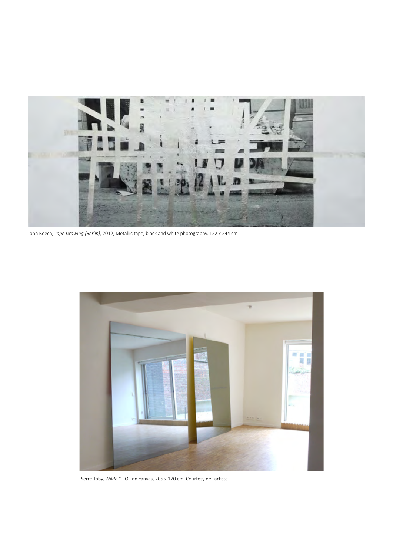

John Beech, *Tape Drawing [Berlin]*, 2012, Metallic tape, black and white photography, 122 x 244 cm



Pierre Toby, *Wilde 1* , Oil on canvas, 205 x 170 cm, Courtesy de l'artiste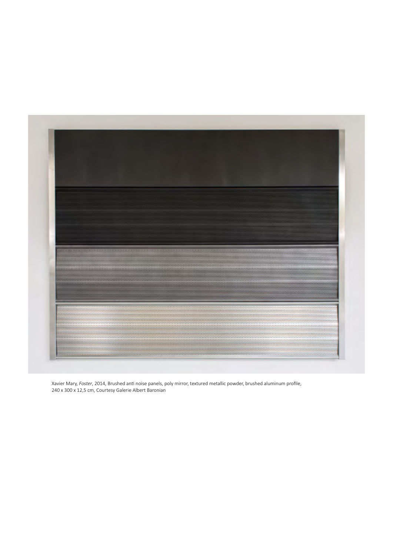

Xavier Mary, *Foster*, 2014, Brushed anti noise panels, poly mirror, textured metallic powder, brushed aluminum profile, 240 x 300 x 12,5 cm, Courtesy Galerie Albert Baronian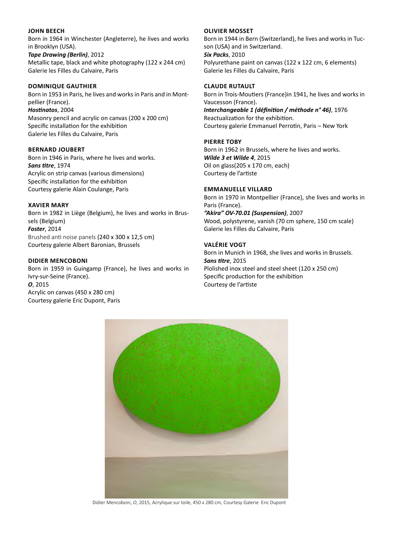### **John Beech**

Born in 1964 in Winchester (Angleterre), he lives and works in Brooklyn (USA).

*Tape Drawing (Berlin)*, 2012 Metallic tape, black and white photography (122 x 244 cm) Galerie les Filles du Calvaire, Paris

### **Dominique Gauthier**

Born in 1953 in Paris, he lives and works in Paris and in Montpellier (France). *Hostinatos*, 2004 Masonry pencil and acrylic on canvas (200 x 200 cm) Specific installation for the exhibition Galerie les Filles du Calvaire, Paris

### **Bernard Joubert**

Born in 1946 in Paris, where he lives and works. *Sans titre*, 1974 Acrylic on strip canvas (various dimensions) Specific installation for the exhibition Courtesy galerie Alain Coulange, Paris

### **Xavier Mary**

Born in 1982 in Liège (Belgium), he lives and works in Brussels (Belgium) *Foster*, 2014 Brushed anti noise panels (240 x 300 x 12,5 cm) Courtesy galerie Albert Baronian, Brussels

### **Didier Mencoboni**

Born in 1959 in Guingamp (France), he lives and works in Ivry-sur-Seine (France). *O*, 2015 Acrylic on canvas (450 x 280 cm) Courtesy galerie Eric Dupont, Paris

### **Olivier Mosset**

Born in 1944 in Bern (Switzerland), he lives and works in Tucson (USA) and in Switzerland. *Six Packs*, 2010 Polyurethane paint on canvas (122 x 122 cm, 6 elements) Galerie les Filles du Calvaire, Paris

### **Claude Rutault**

Born in Trois-Moutiers (France)in 1941, he lives and works in Vaucesson (France). *Interchangeable 1 (définition / méthode n° 46)*, 1976 Reactualization for the exhibition. Courtesy galerie Emmanuel Perrotin, Paris – New York

### **Pierre Toby**

Born in 1962 in Brussels, where he lives and works. *Wilde 3 et Wilde 4*, 2015 Oil on glass(205 x 170 cm, each) Courtesy de l'artiste

### **Emmanuelle Villard**

Born in 1970 in Montpellier (France), she lives and works in Paris (France). *"Akira" OV-70.01 (Suspension)*, 2007 Wood, polystyrene, vanish (70 cm sphere, 150 cm scale) Galerie les Filles du Calvaire, Paris

### **Valérie Vogt**

Born in Munich in 1968, she lives and works in Brussels. *Sans titre*, 2015 Plolished inox steel and steel sheet (120 x 250 cm) Specific production for the exhibition Courtesy de l'artiste



Didier Mencoboni, *O*, 2015, Acrylique sur toile, 450 x 280 cm, Courtesy Galerie Eric Dupont